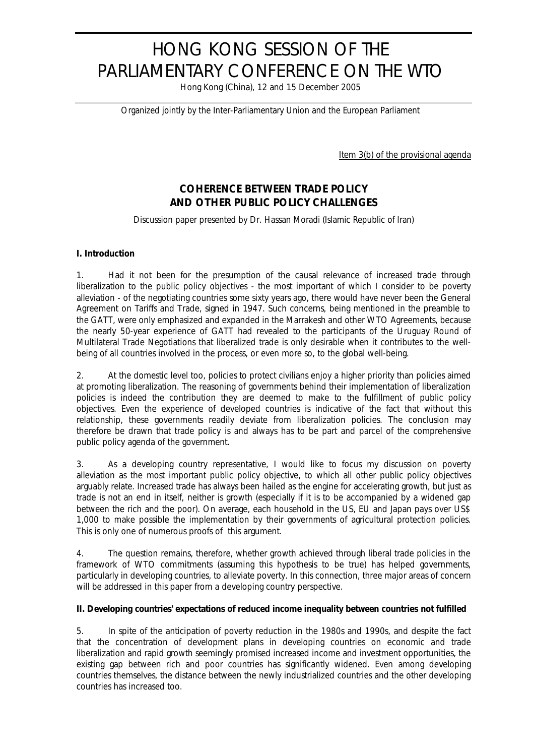# HONG KONG SESSION OF THE PARLIAMENTARY CONFERENCE ON THE WTO

Hong Kong (China), 12 and 15 December 2005

*Organized jointly by the Inter-Parliamentary Union and the European Parliament*

Item 3(b) of the provisional agenda

## **COHERENCE BETWEEN TRADE POLICY AND OTHER PUBLIC POLICY CHALLENGES**

*Discussion paper presented by Dr. Hassan Moradi (Islamic Republic of Iran)*

#### **I. Introduction**

1. Had it not been for the presumption of the causal relevance of increased trade through liberalization to the public policy objectives - the most important of which I consider to be poverty alleviation - of the negotiating countries some sixty years ago, there would have never been the General Agreement on Tariffs and Trade, signed in 1947. Such concerns, being mentioned in the preamble to the GATT, were only emphasized and expanded in the Marrakesh and other WTO Agreements, because the nearly 50-year experience of GATT had revealed to the participants of the Uruguay Round of Multilateral Trade Negotiations that liberalized trade is only desirable when it contributes to the wellbeing of *all* countries involved in the process, or even more so, to the global well-being.

2. At the domestic level too, policies to protect civilians enjoy a higher priority than policies aimed at promoting liberalization. The reasoning of governments behind their implementation of liberalization policies is indeed the contribution they are deemed to make to the fulfillment of public policy objectives. Even the experience of developed countries is indicative of the fact that without this relationship, these governments readily deviate from liberalization policies. The conclusion may therefore be drawn that trade policy is and always has to be part and parcel of the comprehensive public policy agenda of the government.

3. As a developing country representative, I would like to focus my discussion on poverty alleviation as the most important public policy objective, to which all other public policy objectives arguably relate. Increased trade has always been hailed as the engine for accelerating growth, but just as trade is not an end in itself, neither is growth (especially if it is to be accompanied by a widened gap between the rich and the poor). On average, each household in the US, EU and Japan pays over US\$ 1,000 to make possible the implementation by their governments of agricultural protection policies. This is only one of numerous proofs of this argument.

4. The question remains, therefore, whether growth achieved through liberal trade policies in the framework of WTO commitments (assuming this hypothesis to be true) has helped governments, particularly in developing countries, to alleviate poverty. In this connection, three major areas of concern will be addressed in this paper from a developing country perspective.

#### **II. Developing countries' expectations of reduced income inequality between countries not fulfilled**

5. In spite of the anticipation of poverty reduction in the 1980s and 1990s, and despite the fact that the concentration of development plans in developing countries on economic and trade liberalization and rapid growth seemingly promised increased income and investment opportunities, the existing gap between rich and poor countries has significantly widened. Even among developing countries themselves, the distance between the newly industrialized countries and the other developing countries has increased too.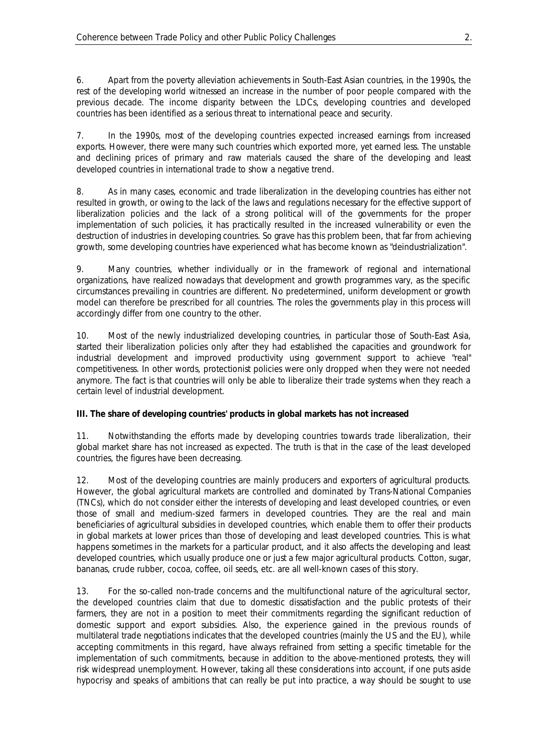6. Apart from the poverty alleviation achievements in South-East Asian countries, in the 1990s, the rest of the developing world witnessed an increase in the number of poor people compared with the previous decade. The income disparity between the LDCs, developing countries and developed countries has been identified as a serious threat to international peace and security.

7. In the 1990s, most of the developing countries expected increased earnings from increased exports. However, there were many such countries which exported more, yet earned less. The unstable and declining prices of primary and raw materials caused the share of the developing and least developed countries in international trade to show a negative trend.

8. As in many cases, economic and trade liberalization in the developing countries has either not resulted in growth, or owing to the lack of the laws and regulations necessary for the effective support of liberalization policies and the lack of a strong political will of the governments for the proper implementation of such policies, it has practically resulted in the increased vulnerability or even the destruction of industries in developing countries. So grave has this problem been, that far from achieving growth, some developing countries have experienced what has become known as "deindustrialization".

9. Many countries, whether individually or in the framework of regional and international organizations, have realized nowadays that development and growth programmes vary, as the specific circumstances prevailing in countries are different. No predetermined, uniform development or growth model can therefore be prescribed for all countries. The roles the governments play in this process will accordingly differ from one country to the other.

10. Most of the newly industrialized developing countries, in particular those of South-East Asia, started their liberalization policies only after they had established the capacities and groundwork for industrial development and improved productivity using government support to achieve "real" competitiveness. In other words, protectionist policies were only dropped when they were not needed anymore. The fact is that countries will only be able to liberalize their trade systems when they reach a certain level of industrial development.

### **III. The share of developing countries' products in global markets has not increased**

11. Notwithstanding the efforts made by developing countries towards trade liberalization, their global market share has not increased as expected. The truth is that in the case of the least developed countries, the figures have been decreasing.

12. Most of the developing countries are mainly producers and exporters of agricultural products. However, the global agricultural markets are controlled and dominated by Trans-National Companies (TNCs), which do not consider either the interests of developing and least developed countries, or even those of small and medium-sized farmers in developed countries. They are the real and main beneficiaries of agricultural subsidies in developed countries, which enable them to offer their products in global markets at lower prices than those of developing and least developed countries. This is what happens sometimes in the markets for a particular product, and it also affects the developing and least developed countries, which usually produce one or just a few major agricultural products. Cotton, sugar, bananas, crude rubber, cocoa, coffee, oil seeds, etc. are all well-known cases of this story.

13. For the so-called non-trade concerns and the multifunctional nature of the agricultural sector, the developed countries claim that due to domestic dissatisfaction and the public protests of their farmers, they are not in a position to meet their commitments regarding the significant reduction of domestic support and export subsidies. Also, the experience gained in the previous rounds of multilateral trade negotiations indicates that the developed countries (mainly the US and the EU), while accepting commitments in this regard, have always refrained from setting a specific timetable for the implementation of such commitments, because in addition to the above-mentioned protests, they will risk widespread unemployment. However, taking all these considerations into account, if one puts aside hypocrisy and speaks of ambitions that can really be put into practice, a way should be sought to use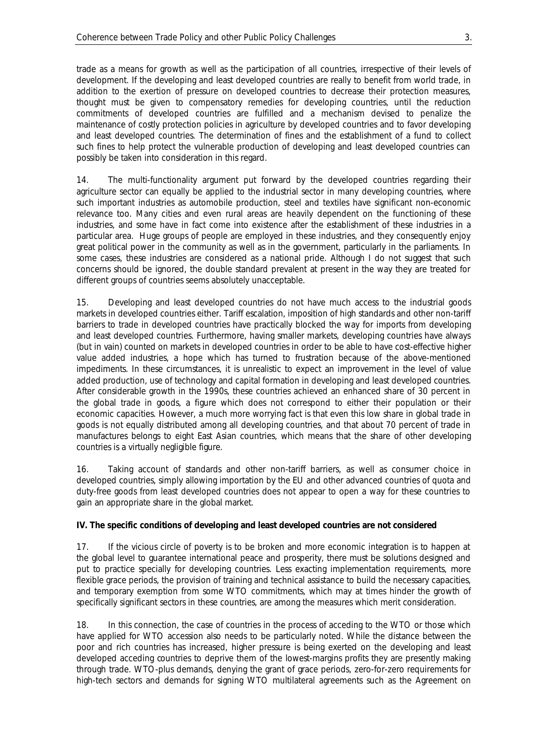trade as a means for growth as well as the participation of all countries, irrespective of their levels of development. If the developing and least developed countries are really to benefit from world trade, in addition to the exertion of pressure on developed countries to decrease their protection measures, thought must be given to compensatory remedies for developing countries, until the reduction commitments of developed countries are fulfilled and a mechanism devised to penalize the maintenance of costly protection policies in agriculture by developed countries and to favor developing and least developed countries. The determination of fines and the establishment of a fund to collect such fines to help protect the vulnerable production of developing and least developed countries can possibly be taken into consideration in this regard.

14. The multi-functionality argument put forward by the developed countries regarding their agriculture sector can equally be applied to the industrial sector in many developing countries, where such important industries as automobile production, steel and textiles have significant non-economic relevance too. Many cities and even rural areas are heavily dependent on the functioning of these industries, and some have in fact come into existence after the establishment of these industries in a particular area. Huge groups of people are employed in these industries, and they consequently enjoy great political power in the community as well as in the government, particularly in the parliaments. In some cases, these industries are considered as a national pride. Although I do not suggest that such concerns should be ignored, the double standard prevalent at present in the way they are treated for different groups of countries seems absolutely unacceptable.

15. Developing and least developed countries do not have much access to the industrial goods markets in developed countries either. Tariff escalation, imposition of high standards and other non-tariff barriers to trade in developed countries have practically blocked the way for imports from developing and least developed countries. Furthermore, having smaller markets, developing countries have always (but in vain) counted on markets in developed countries in order to be able to have cost-effective higher value added industries, a hope which has turned to frustration because of the above-mentioned impediments. In these circumstances, it is unrealistic to expect an improvement in the level of value added production, use of technology and capital formation in developing and least developed countries. After considerable growth in the 1990s, these countries achieved an enhanced share of 30 percent in the global trade in goods, a figure which does not correspond to either their population or their economic capacities. However, a much more worrying fact is that even this low share in global trade in goods is not equally distributed among all developing countries, and that about 70 percent of trade in manufactures belongs to eight East Asian countries, which means that the share of other developing countries is a virtually negligible figure.

16. Taking account of standards and other non-tariff barriers, as well as consumer choice in developed countries, simply allowing importation by the EU and other advanced countries of quota and duty-free goods from least developed countries does not appear to open a way for these countries to gain an appropriate share in the global market.

#### **IV. The specific conditions of developing and least developed countries are not considered**

17. If the vicious circle of poverty is to be broken and more economic integration is to happen at the global level to guarantee international peace and prosperity, there must be solutions designed and put to practice specially for developing countries. Less exacting implementation requirements, more flexible grace periods, the provision of training and technical assistance to build the necessary capacities, and temporary exemption from some WTO commitments, which may at times hinder the growth of specifically significant sectors in these countries, are among the measures which merit consideration.

18. In this connection, the case of countries in the process of acceding to the WTO or those which have applied for WTO accession also needs to be particularly noted. While the distance between the poor and rich countries has increased, higher pressure is being exerted on the developing and least developed acceding countries to deprive them of the lowest-margins profits they are presently making through trade. WTO-plus demands, denying the grant of grace periods, zero-for-zero requirements for high-tech sectors and demands for signing WTO multilateral agreements such as the Agreement on